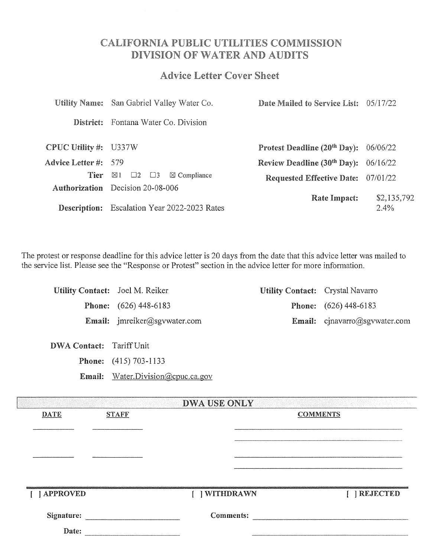# **CALIFORNIA PUBLIC UTILITIES COMMISSION** DIVISION OF WATER AND AUDITS

# **Advice Letter Cover Sheet**

|                             | Utility Name: San Gabriel Valley Water Co.                | Date Mailed to Service List: 05/17/22     |                        |
|-----------------------------|-----------------------------------------------------------|-------------------------------------------|------------------------|
|                             | District: Fontana Water Co. Division                      |                                           |                        |
| CPUC Utility #: U337W       |                                                           | Protest Deadline $(20th$ Day): $06/06/22$ |                        |
| <b>Advice Letter #:</b> 579 |                                                           | Review Deadline $(30th$ Day): $06/16/22$  |                        |
| Tier                        | $\boxtimes$ 1 $\Box$ 2 $\Box$ 3<br>$\boxtimes$ Compliance | Requested Effective Date: 07/01/22        |                        |
|                             | <b>Authorization</b> Decision 20-08-006                   |                                           |                        |
|                             | <b>Description:</b> Escalation Year 2022-2023 Rates       | <b>Rate Impact:</b>                       | \$2,135,792<br>$2.4\%$ |

The protest or response deadline for this advice letter is 20 days from the date that this advice letter was mailed to the service list. Please see the "Response or Protest" section in the advice letter for more information.

|                     | Utility Contact: Joel M. Reiker                                                  |                     | <b>Utility Contact:</b> Crystal Navarro |                                                                                                                                                                                                                                    |
|---------------------|----------------------------------------------------------------------------------|---------------------|-----------------------------------------|------------------------------------------------------------------------------------------------------------------------------------------------------------------------------------------------------------------------------------|
|                     | <b>Phone:</b> (626) 448-6183                                                     |                     |                                         | <b>Phone:</b> (626) 448-6183                                                                                                                                                                                                       |
|                     | Email: jmreiker@sgvwater.com                                                     |                     |                                         | Email: cjnavarro@sgvwater.com                                                                                                                                                                                                      |
| <b>DWA Contact:</b> | Tariff Unit<br><b>Phone:</b> (415) 703-1133<br>Email: Water.Division@cpuc.ca.gov |                     |                                         |                                                                                                                                                                                                                                    |
|                     |                                                                                  | <b>DWA USE ONLY</b> |                                         |                                                                                                                                                                                                                                    |
| <b>DATE</b>         | <b>STAFF</b>                                                                     |                     | <b>COMMENTS</b>                         |                                                                                                                                                                                                                                    |
|                     |                                                                                  |                     |                                         |                                                                                                                                                                                                                                    |
|                     |                                                                                  |                     |                                         |                                                                                                                                                                                                                                    |
|                     |                                                                                  |                     |                                         |                                                                                                                                                                                                                                    |
| [ ] APPROVED        |                                                                                  | [ ] WITHDRAWN       |                                         | [ ] REJECTED                                                                                                                                                                                                                       |
|                     | Signature: New York Signature:                                                   |                     |                                         | Comments: <u>comments:</u> comments: comments: comments: comments: comments: comments: comments: comments: comments: comments: comments: comments: comments: comments: comments: comments: comments: comments: comments: comments: |
| Date:               |                                                                                  |                     |                                         |                                                                                                                                                                                                                                    |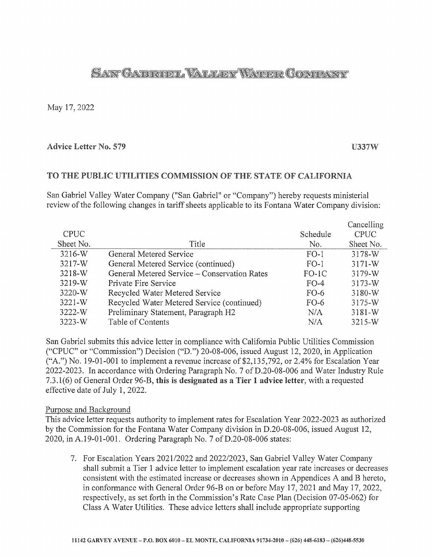# **SAN GABROEL VALLEY WATER GOMPANY**

May 17, 2022

### Advice Letter No. 579 U337W

### TO THE PUBLIC UTILITIES COMMISSION OF THE STATE OF CALIFORNIA

San Gabriel Valley Water Company ("San Gabriel" or "Company") hereby requests ministerial review of the following changes in tariff sheets applicable to its Fontana Water Company division:

|             |                                              |          | Cancelling  |
|-------------|----------------------------------------------|----------|-------------|
| <b>CPUC</b> |                                              | Schedule | <b>CPUC</b> |
| Sheet No.   | Title                                        | No.      | Sheet No.   |
| 3216-W      | General Metered Service                      | $FO-1$   | 3178-W      |
| 3217-W      | General Metered Service (continued)          | $FO-1$   | $3171-W$    |
| $3218-W$    | General Metered Service – Conservation Rates | $FO-1C$  | 3179-W      |
| $3219-W$    | Private Fire Service                         | $FO-4$   | $3173-W$    |
| 3220-W      | Recycled Water Metered Service               | $FO-6$   | 3180-W      |
| $3221 - W$  | Recycled Water Metered Service (continued)   | $FO-6$   | $3175 - W$  |
| 3222-W      | Preliminary Statement, Paragraph H2          | N/A      | $3181 - W$  |
| 3223-W      | Table of Contents                            | N/A      | 3215-W      |

San Gabriel submits this advice letter in compliance with California Public Utilities Commission ("CPUC" or "Commission") Decision ("D.") 20-08-006, issued August 12, 2020, in Application ("A.") No. 19-01-001 to implement a revenue increase of \$2,135,792, or 2.4% for Escalation Year 2022-2023. In accordance with Ordering Paragraph No. 7 of D.20-08-006 and Water Industry Rule 7.3.1(6) of General Order 96-B, this is designated as a Tier 1 advice letter, with a requested effective date of July 1, 2022.

### Purpose and Background

This advice letter requests authority to implement rates for Escalation Year 2022-2023 as authorized by the Commission for the Fontana Water Company division in D.20-08-006, issued August 12, 2020, in A.19-01-001. Ordering Paragraph No. 7 ofD.20-08-006 states:

7. For Escalation Years 202112022 and *202212023,* San Gabriel Valley Water Company shall submit a Tier 1 advice letter to implement escalation year rate increases or decreases consistent with the estimated increase or decreases shown in Appendices A and B hereto, in conformance with General Order 96-B on or before May 17, 2021 and May 17, 2022, respectively, as set forth in the Commission's Rate Case Plan (Decision 07-05-062) for Class A Water Utilities. These advice letters shall include appropriate supporting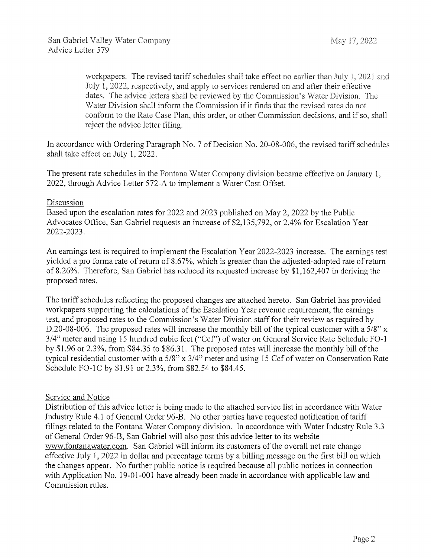workpapers. The revised tariff schedules shall take effect no earlier than July 1, 2021 and July 1, 2022, respectively, and apply to services rendered on and after their effective dates. The advice letters shall be reviewed by the Commission's Water Division. The Water Division shall inform the Commission if it finds that the revised rates do not conform to the Case Plan, this order, or other Commission decisions, and if so, shall reject the advice letter filing.

In accordance with Ordering Paragraph No. 7 of Decision No. 20-08-006, the revised tariff schedules shall take effect on July I, 2022.

The present rate schedules in the Fontana Water Company division became effective on January 1, 2022, through Advice Letter 572-A to implement a Water Cost Offset.

### **Discussion**

Based upon the escalation rates for 2022 and 2023 published on May 2, 2022 by the Public Advocates Office, San Gabriel requests an increase of \$2,135,792, or 2.4% for Escalation Year 2022-2023.

An earnings test is required to implement the Escalation Year 2022-2023 increase. The earnings test yielded a pro forma rate of return of 8.67%, which is greater than the adjusted-adopted rate of return of 8 .26%. Therefore, San Gabriel has reduced its requested increase by \$1, 162,407 in deriving the proposed rates.

The tariff schedules reflecting the proposed changes are attached hereto. San Gabriel has provided workpapers supporting the calculations of the Escalation Year revenue requirement, the earnings test, and proposed rates to the Commission's Water Division staff for their review as required by D.20-08-006. The proposed rates will increase the monthly bill of the typical customer with a 5/8" x 3/4" meter and using 15 hundred cubic feet ("Ccf') of water on General Service Rate Schedule F0-1 by \$1.96 or 2.3%, from \$84.35 to \$86.31. The proposed rates will increase the monthly bill of the typical residential customer with a 5/8" x 3/4" meter and using 15 Ccf of water on Conservation Rate Schedule FO-1C by \$1.91 or 2.3%, from \$82.54 to \$84.45.

### Service and Notice

Distribution of this advice letter is being made to the attached service list in accordance with Water Industry Rule 4.1 of General Order 96-B. No other parties have requested notification of tariff filings related to the Fontana Water Company division. In accordance with Water Industry Rule 3.3 of General Order 96-B, San Gabriel will also post this advice letter to its website www.fontanawater.com. San Gabriel will inform its customers of the overall net rate change effective July 1, 2022 in dollar and percentage terms by a billing message on the first bill on which the changes appear. No further public notice is required because all public notices in connection with Application No. 19-01-001 have already been made in accordance with applicable law and Commission rules.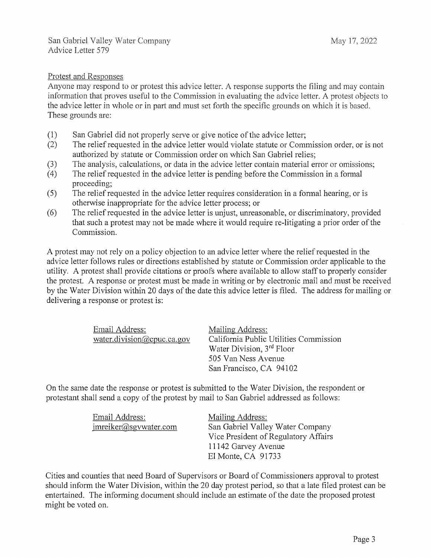### **Protest and Responses**

Anyone may respond to or protest this advice letter. A response supports the filing and may contain information that proves useful to the Commission in evaluating the advice letter. A protest objects to the advice letter in whole or in part and must set forth the specific grounds on which it is based. These grounds are:

- (1) San Gabriel did not properly serve or give notice of the advice letter;
- (2) The relief requested in the advice letter would violate statute or Commission order, or is not authorized by statute or Commission order on which San Gabriel relies;
- (3) The analysis, calculations, or data in the advice letter contain material error or omissions;
- (4) The relief requested in the advice letter is pending before the Commission in a formal proceeding;
- (5) The relief requested in the advice letter requires consideration in a formal hearing, or is otherwise inappropriate for the advice letter process; or
- (6) The relief requested in the advice letter is unjust, unreasonable, or discriminatory, provided that such a protest may not be made where it would require re-litigating a prior order of the Commission.

A protest may not rely on a policy objection to an advice letter where the relief requested in the advice letter follows rules or directions established by statute or Commission order applicable to the utility. A protest shall provide citations or proofs where available to allow staff to properly consider the protest. A response or protest must be made in writing or by electronic mail and must be received by the Water Division within 20 days of the date this advice letter is filed. The address for mailing or delivering a response or protest is:

| Email Address:                                       | Mailing Address:                       |
|------------------------------------------------------|----------------------------------------|
| $water\text{.division}(\partial \text{cpuc.ca.gov})$ | California Public Utilities Commission |
|                                                      | Water Division, 3rd Floor              |
|                                                      | 505 Van Ness Avenue                    |
|                                                      | San Francisco, CA 94102                |

On the same date the response or protest is submitted to the Water Division, the respondent or protestant shall send a copy of the protest by mail to San Gabriel addressed as follows:

| Email Address:        | Mailing Address:                     |
|-----------------------|--------------------------------------|
| imreiker@sgvwater.com | San Gabriel Valley Water Company     |
|                       | Vice President of Regulatory Affairs |
|                       | 11142 Garvey Avenue                  |
|                       | El Monte, CA 91733                   |

Cities and counties that need Board of Supervisors or Board of Commissioners approval to protest should inform the Water Division, within the 20 day protest period, so that a late filed protest can be entertained. The informing document should include an estimate of the date the proposed protest might be voted on.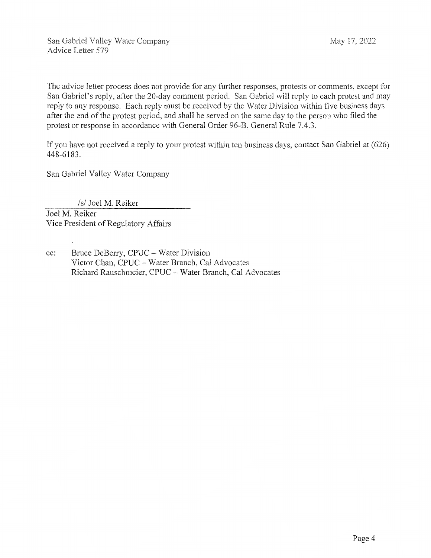San Gabriel Valley Water Company Advice Letter 579

The advice letter process does not provide for any further responses, protests or comments, except for San Gabriel's reply, after the 20-day comment period. San Gabriel will reply to each protest and may reply to any response. Each reply must be received by the Water Division within five business days after the end of the protest period, and shall be served on the same day to the person who filed the protest or response in accordance with General Order 96-B, General Rule 7.4.3.

If you have not received a reply to your protest within ten business days, contact San Gabriel at ( 626) 448-6183.

San Gabriel Valley Water Company

*Isl* Joel M. Reiker

Joel M. Reiker Vice President of Regulatory Affairs

cc: Bruce DeBerry, CPUC- Water Division Victor Chan, CPUC- Water Branch, Cal Advocates Richard Rauschmeier, CPUC - Water Branch, Cal Advocates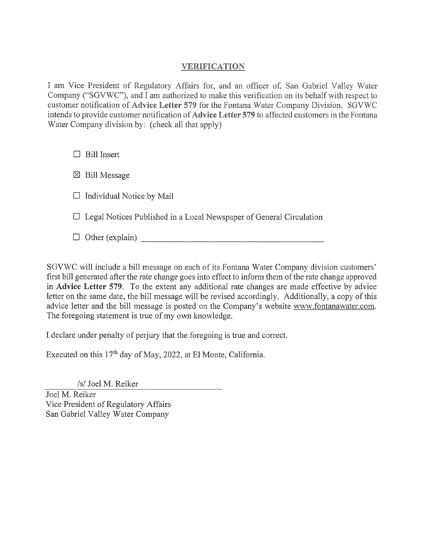## **VERIFICATION**

I am Vice President of Regulatory Affairs for, and an officer of, San Gabriel Valley Water Company ("SGVWC"), and I am authorized to make this verification on its behalf with respect to customer notification of Advice Letter 579 for the Fontana Water Company Division. SGVWC intends to provide customer notification of Advice Letter 579 to affected customers in the Fontana Water Company division by: (check all that apply)

 $\Box$  Bill Insert

 $\boxtimes$  Bill Message

 $\Box$  Individual Notice by Mail

 $\Box$  Legal Notices Published in a Local Newspaper of General Circulation

 $\Box$  Other (explain)

SGVWC will include a bill message on each of its Fontana Water Company division customers' first bill generated after the rate change goes into effect to inform them of the rate change approved in Advice Letter 579. To the extent any additional rate changes are made effective by advice letter on the same date, the bill message will be revised accordingly. Additionally, a copy of this advice letter and the bill message is posted on the Company's website www.fontanawater.com. The foregoing statement is true of my own knowledge.

I declare under penalty of perjury that the foregoing is true and correct.

Executed on this  $17<sup>th</sup>$  day of May, 2022, at El Monte, California.

*Isl* Joel M. Reiker

Joel M. Reiker Vice President of Regulatory Affairs San Gabriel Valley Water Company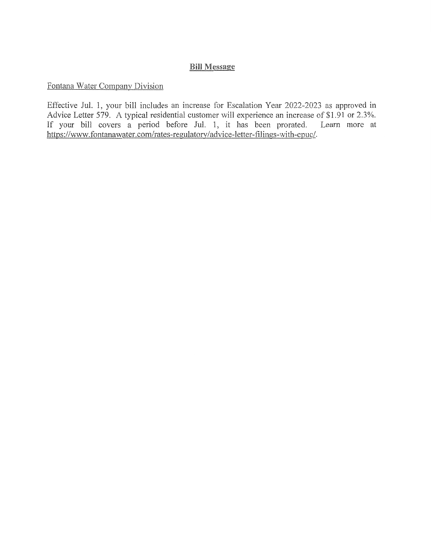### **Bill Message**

### Fontana Water Company Division

Effective Jul. 1, your bill includes an increase for Escalation Year 2022-2023 as approved in Advice Letter 579. A typical residential customer will experience an increase of \$1.91 or 2.3%. If your bill covers a period before Jul. 1, it has been prorated. Learn more at https://www.fontanawater.com/rates-regulatory/advice-letter-filings-with-cpuc/.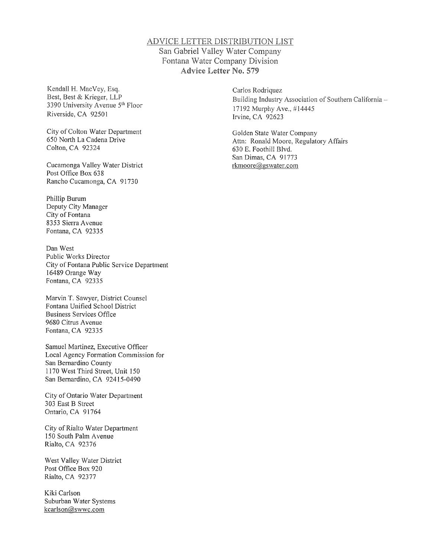#### ADVICE LETTER DISTRIBUTION LIST San Gabriel Valley Water Company Fontana Water Company Division Advice Letter No. 579

Kendall H. MacVey, Esq. Best, Best & Krieger, LLP 3390 University Avenue 5<sup>th</sup> Floor Riverside, CA 92501

City of Colton Water Department 650 North La Cadena Drive Colton, CA 92324

Cucamonga Valley Water District Post Office Box 638 Rancho Cucamonga, CA 91730

Phillip Burum Deputy City Manager City of Fontana 8353 Sierra Avenue Fontana, CA 92335

Dan West Public Works Director City of Fontana Public Service Department 16489 Orange Way Fontana, CA 92335

Marvin T. Sawyer, District Counsel Fontana Unified School District Business Services Office 9680 Citrus Avenue Fontana, CA 92335

Samuel Martinez, Executive Officer Local Agency Formation Commission for San Bernardino County 1170 West Third Street, Unit 150 San Bernardino, CA 92415-0490

City of Ontario Water Department 303 East B Street Ontario, CA 91764

City of Rialto Water Department I 50 South Palm A venue Rialto, CA 92376

West Valley Water District Post Office Box 920 Rialto, CA 92377

Kiki Carlson Suburban Water Systems kcarlson@swwc.com

Carlos Rodriquez Building Industry Association of Southern California 17192 Murphy Ave., #14445 Irvine, CA 92623

Golden State Water Company Attn: Ronald Moore, Regulatory Affairs 630 E. Foothill Blvd. San Dimas, CA 91773 rkmoore@gswater.com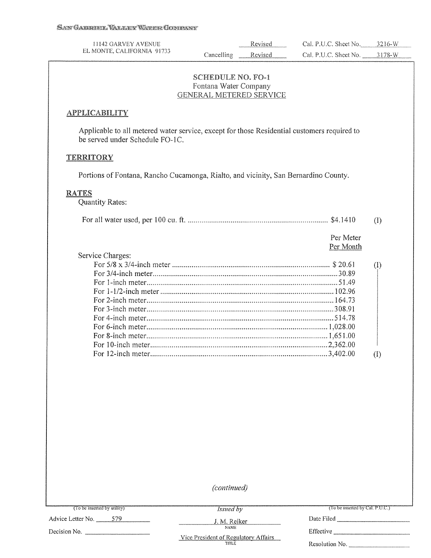| 11142 GARVEY AVENUE<br>EL MONTE, CALIFORNIA 91733                                                                              |                                                                              | Revised | Cal. P.U.C. Sheet No.  | $3216-W$         |
|--------------------------------------------------------------------------------------------------------------------------------|------------------------------------------------------------------------------|---------|------------------------|------------------|
|                                                                                                                                | Cancelling                                                                   | Revised | Cal. P.U.C. Sheet No.  | $3178-W$         |
|                                                                                                                                | <b>SCHEDULE NO. FO-1</b><br>Fontana Water Company<br>GENERAL METERED SERVICE |         |                        |                  |
| <b>APPLICABILITY</b>                                                                                                           |                                                                              |         |                        |                  |
| Applicable to all metered water service, except for those Residential customers required to<br>be served under Schedule FO-1C. |                                                                              |         |                        |                  |
| <b>TERRITORY</b>                                                                                                               |                                                                              |         |                        |                  |
| Portions of Fontana, Rancho Cucamonga, Rialto, and vicinity, San Bernardino County.                                            |                                                                              |         |                        |                  |
| <b>RATES</b><br><b>Quantity Rates:</b>                                                                                         |                                                                              |         |                        |                  |
|                                                                                                                                |                                                                              |         |                        | (I)              |
|                                                                                                                                |                                                                              |         | Per Meter<br>Per Month |                  |
| Service Charges:                                                                                                               |                                                                              |         |                        |                  |
|                                                                                                                                |                                                                              |         |                        | (1)              |
|                                                                                                                                |                                                                              |         |                        |                  |
|                                                                                                                                |                                                                              |         |                        |                  |
|                                                                                                                                |                                                                              |         |                        |                  |
|                                                                                                                                |                                                                              |         |                        |                  |
|                                                                                                                                |                                                                              |         |                        |                  |
|                                                                                                                                |                                                                              |         |                        |                  |
|                                                                                                                                |                                                                              |         |                        |                  |
|                                                                                                                                |                                                                              |         |                        |                  |
|                                                                                                                                |                                                                              |         |                        | $\left(1\right)$ |
|                                                                                                                                |                                                                              |         |                        |                  |
|                                                                                                                                |                                                                              |         |                        |                  |
|                                                                                                                                |                                                                              |         |                        |                  |
|                                                                                                                                |                                                                              |         |                        |                  |
|                                                                                                                                |                                                                              |         |                        |                  |
|                                                                                                                                |                                                                              |         |                        |                  |
|                                                                                                                                |                                                                              |         |                        |                  |

*(continued)* 

*Issued by* 

Advice Letter No. -~5~7~9 \_\_ \_

Decision No.  $\qquad \qquad$ 

J.M. Reiker Date Filed \_\_\_\_\_\_\_\_ \_

Effective \_\_\_\_\_\_\_\_ \_ Resolution No.

Vice President of Regulatory Affairs<br>TITLE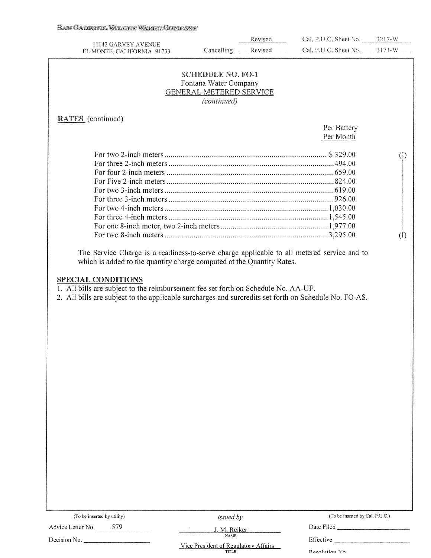#### SAN GABRIEL VALLER WATER GOMPANY

|                                                                                                                                                                                                                          |                                | Revised | Cal. P.U.C. Sheet No. 3217-W    |                            |
|--------------------------------------------------------------------------------------------------------------------------------------------------------------------------------------------------------------------------|--------------------------------|---------|---------------------------------|----------------------------|
| 11142 GARVEY AVENUE<br>EL MONTE, CALIFORNIA 91733                                                                                                                                                                        | Cancelling                     | Revised | Cal. P.U.C. Sheet No. 3171-W    |                            |
|                                                                                                                                                                                                                          |                                |         |                                 |                            |
|                                                                                                                                                                                                                          | <b>SCHEDULE NO. FO-1</b>       |         |                                 |                            |
|                                                                                                                                                                                                                          | Fontana Water Company          |         |                                 |                            |
|                                                                                                                                                                                                                          | <b>GENERAL METERED SERVICE</b> |         |                                 |                            |
|                                                                                                                                                                                                                          | (continued)                    |         |                                 |                            |
| <b>RATES</b> (continued)                                                                                                                                                                                                 |                                |         |                                 |                            |
|                                                                                                                                                                                                                          |                                |         | Per Battery                     |                            |
|                                                                                                                                                                                                                          |                                |         | Per Month                       |                            |
|                                                                                                                                                                                                                          |                                |         |                                 | $\left( \mathrm{I}\right)$ |
|                                                                                                                                                                                                                          |                                |         |                                 |                            |
|                                                                                                                                                                                                                          |                                |         |                                 |                            |
|                                                                                                                                                                                                                          |                                |         |                                 |                            |
|                                                                                                                                                                                                                          |                                |         |                                 |                            |
|                                                                                                                                                                                                                          |                                |         |                                 |                            |
|                                                                                                                                                                                                                          |                                |         |                                 |                            |
|                                                                                                                                                                                                                          |                                |         |                                 |                            |
|                                                                                                                                                                                                                          |                                |         |                                 |                            |
|                                                                                                                                                                                                                          |                                |         |                                 | $\rm (I)$                  |
| <b>SPECIAL CONDITIONS</b><br>1. All bills are subject to the reimbursement fee set forth on Schedule No. AA-UF.<br>2. All bills are subject to the applicable surcharges and surcredits set forth on Schedule No. FO-AS. |                                |         |                                 |                            |
|                                                                                                                                                                                                                          |                                |         |                                 |                            |
| (To be inserted by utility)                                                                                                                                                                                              | Issued by                      |         | (To be inserted by Cal. P.U.C.) |                            |
| 579<br>Advice Letter No.                                                                                                                                                                                                 | J. M. Reiker                   |         | Date Filed_                     |                            |
|                                                                                                                                                                                                                          | <b>NAME</b>                    |         |                                 |                            |

Decision No. \_\_\_\_\_\_\_ \_ Effective \_\_\_\_\_\_\_\_\_ \_ Vice President of Regulatory Affairs<br>TITLE

Recolution No.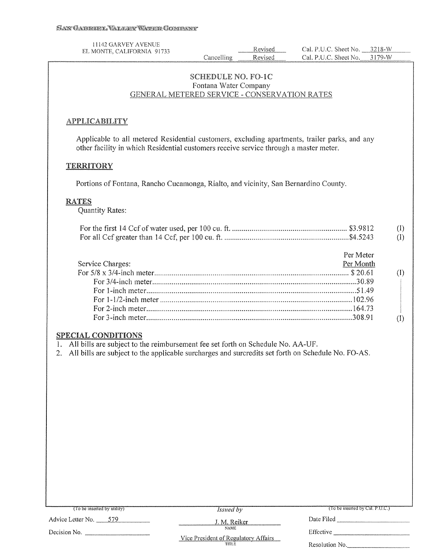| 11142 GARVEY AVENUE<br>EL MONTE, CALIFORNIA 91733                                                                                                                                                                                                                   | Cancelling                                         | Revised<br>Revised | Cal. P.U.C. Sheet No. 3218-W<br>Cal. P.U.C. Sheet No.                      | 3179-W                 |
|---------------------------------------------------------------------------------------------------------------------------------------------------------------------------------------------------------------------------------------------------------------------|----------------------------------------------------|--------------------|----------------------------------------------------------------------------|------------------------|
| GENERAL METERED SERVICE - CONSERVATION RATES                                                                                                                                                                                                                        | <b>SCHEDULE NO. FO-1C</b><br>Fontana Water Company |                    |                                                                            |                        |
| <b>APPLICABILITY</b><br>Applicable to all metered Residential customers, excluding apartments, trailer parks, and any<br>other facility in which Residential customers receive service through a master meter.<br><b>TERRITORY</b>                                  |                                                    |                    |                                                                            |                        |
|                                                                                                                                                                                                                                                                     |                                                    |                    |                                                                            |                        |
| Portions of Fontana, Rancho Cucamonga, Rialto, and vicinity, San Bernardino County.<br><b>RATES</b><br><b>Quantity Rates:</b>                                                                                                                                       |                                                    |                    |                                                                            |                        |
|                                                                                                                                                                                                                                                                     |                                                    |                    |                                                                            | $\rm (I)$<br>$\rm (I)$ |
| Service Charges:<br><b>SPECIAL CONDITIONS</b><br>1. All bills are subject to the reimbursement fee set forth on Schedule No. AA-UF.<br>All bills are subject to the applicable surcharges and surcredits set forth on Schedule No. FO-AS.<br>2.<br>$\sum_{i=1}^{n}$ |                                                    |                    | Per Meter<br>Per Month<br>$\sum_{i=1}^{n}$ be inverted by $\sum_{i=1}^{n}$ | (1)<br>(1)             |

Advice Letter No. \_ \_,5"-'7-"-9 \_\_\_ \_

Decision No. \_\_\_\_\_\_\_ \_

*Issued by* 

Date Filed \_\_\_\_\_\_\_\_ \_

J. M. Reiker Effective \_\_\_\_\_\_\_\_ \_

Vice President of Regulatory Affairs<br>TITLE

Resolution No.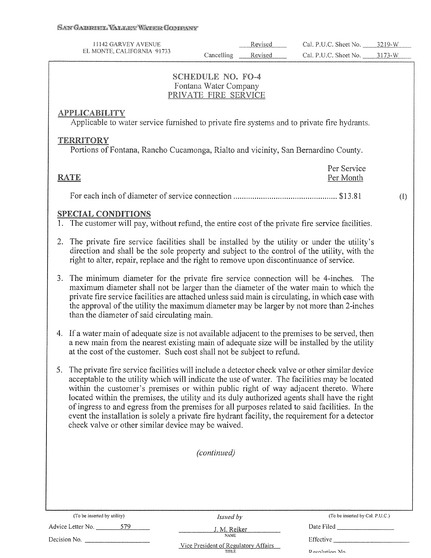| 1142 GARVEY AVENUE         |            | Revised | Sheet No.<br>Cal. P.U.C. |  |
|----------------------------|------------|---------|--------------------------|--|
| EL MONTE, CALIFORNIA 91733 | Cancelling |         | Sheet No.<br>Cal P.U     |  |
|                            |            |         |                          |  |

#### **SCHEDULE NO. FO-4** Fontana Water Company PRIVATE FIRE SERVICE

### **APPLICABILITY**

Applicable to water service furnished to private fire systems and to private fire hydrants.

### **TERRITORY**

Portions of Fontana, Rancho Cucamonga, Rialto and vicinity, San Bernardino County.

| RATE | Per Service<br>Per Month |
|------|--------------------------|
|      |                          |

(I)

### SPECIAL CONDITIONS

- 1. The customer will pay, without refund, the entire cost of the private fire service facilities.
- 2. The private fire service facilities shall be installed by the utility or under the utility's direction and shall be the sole property and subject to the control of the utility, with the right to alter, repair, replace and the right to remove upon discontinuance of service.
- 3. The minimum diameter for the private fire service connection will be 4-inches. The maximum diameter shall not be larger than the diameter of the water main to which the private fire service facilities are attached unless said main is circulating, in which case with the approval of the utility the maximum diameter may be larger by not more than 2-inches than the diameter of said circulating main.
- 4. If a water main of adequate size is not available adjacent to the premises to be served, then a new main from the nearest existing main of adequate size will be installed by the utility at the cost of the customer. Such cost shall not be subject to refund.
- 5. The private fire service facilities will include a detector check valve or other similar device acceptable to the utility which will indicate the use of water. The facilities may be located within the customer's premises or within public right of way adjacent thereto. Where located within the premises, the utility and its duly authorized agents shall have the right of ingress to and egress from the premises for all purposes related to said facilities. In the event the installation is solely a private fire hydrant facility, the requirement for a detector

|                             |     | $\sim$ . The measurement is served as placement in Tablement inventory, the stationizer of a served in<br>check valve or other similar device may be waived.                                                                                                                                     |                                 |
|-----------------------------|-----|--------------------------------------------------------------------------------------------------------------------------------------------------------------------------------------------------------------------------------------------------------------------------------------------------|---------------------------------|
|                             |     | (continued)                                                                                                                                                                                                                                                                                      |                                 |
|                             |     |                                                                                                                                                                                                                                                                                                  |                                 |
|                             |     |                                                                                                                                                                                                                                                                                                  |                                 |
| (To be inserted by utility) |     | Issued by                                                                                                                                                                                                                                                                                        | (To be inserted by Cal. P.U.C.) |
| Advice Letter No. _______   | 579 | J. M. Reiker                                                                                                                                                                                                                                                                                     | Date Filed                      |
| Decision No.                |     | NAME<br>$\mathbf{v}$ , and $\mathbf{v}$ , and $\mathbf{v}$ , and $\mathbf{v}$ , and $\mathbf{v}$ , and $\mathbf{v}$ , and $\mathbf{v}$ , and $\mathbf{v}$ , and $\mathbf{v}$ , and $\mathbf{v}$ , and $\mathbf{v}$ , and $\mathbf{v}$ , and $\mathbf{v}$ , and $\mathbf{v}$ , and $\mathbf{v}$ , | Effective                       |

Vice President of Regulatorv Affairs TITLE

Recolution Mo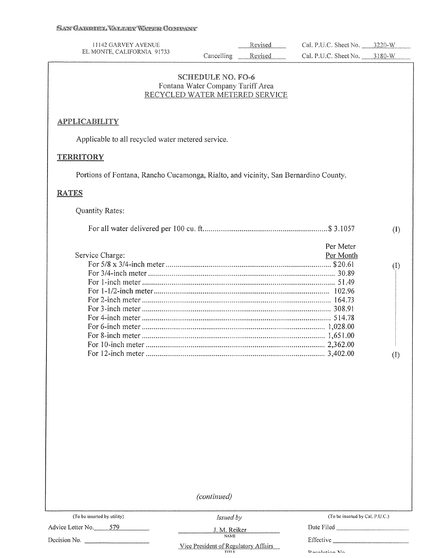| 11142 GARVEY AVENUE<br>EL MONTE, CALIFORNIA 91733                                   |                                                               | Revised                        | Cal. P.U.C. Sheet No. 3220-W |            |
|-------------------------------------------------------------------------------------|---------------------------------------------------------------|--------------------------------|------------------------------|------------|
|                                                                                     | Cancelling                                                    | Revised                        | Cal. P.U.C. Sheet No. 3180-W |            |
|                                                                                     | <b>SCHEDULE NO. FO-6</b><br>Fontana Water Company Tariff Area | RECYCLED WATER METERED SERVICE |                              |            |
| <b>APPLICABILITY</b>                                                                |                                                               |                                |                              |            |
| Applicable to all recycled water metered service.                                   |                                                               |                                |                              |            |
| <b>TERRITORY</b>                                                                    |                                                               |                                |                              |            |
| Portions of Fontana, Rancho Cucamonga, Rialto, and vicinity, San Bernardino County. |                                                               |                                |                              |            |
| <b>RATES</b>                                                                        |                                                               |                                |                              |            |
| <b>Quantity Rates:</b>                                                              |                                                               |                                |                              |            |
|                                                                                     |                                                               |                                |                              | (1)        |
| Service Charge:                                                                     |                                                               |                                | Per Meter<br>Per Month       | (1)<br>(1) |
|                                                                                     |                                                               |                                |                              |            |

*(continued)* 

Advice Letter No. 579

Decision No. -------- **NAME** 

*Issued by*  J.M. Reiker Date Filed \_\_\_\_\_\_\_\_ \_

(To be inserted by utility)  $Is \text{ and } by$  (To be inserted by Cal. P.U.C.)

Effective \_\_\_\_\_\_ Dacolution Mo

Vice President of Regulatory Affairs<br>TITLE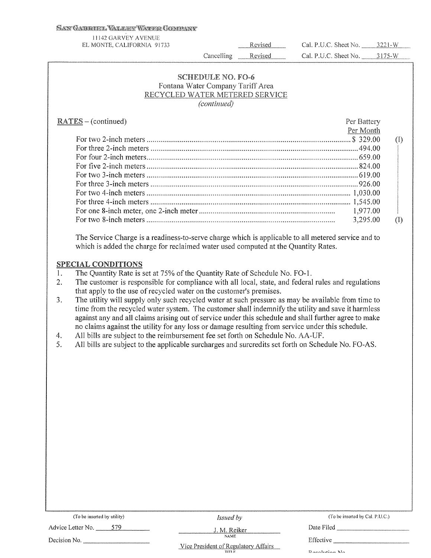#### SAN GABRIEL VALLER WATER GOMBANY

| 11142 GARVEY AVENUE<br>EL MONTE, CALIFORNIA 91733                                                                                                                                                                                                                                                                                                                                                                                                                                                                                                                                                                                                                                                                                                                                                                                                                                                        | Revised | Cal. P.U.C. Sheet No. 3221-W |                                                          |
|----------------------------------------------------------------------------------------------------------------------------------------------------------------------------------------------------------------------------------------------------------------------------------------------------------------------------------------------------------------------------------------------------------------------------------------------------------------------------------------------------------------------------------------------------------------------------------------------------------------------------------------------------------------------------------------------------------------------------------------------------------------------------------------------------------------------------------------------------------------------------------------------------------|---------|------------------------------|----------------------------------------------------------|
| Cancelling                                                                                                                                                                                                                                                                                                                                                                                                                                                                                                                                                                                                                                                                                                                                                                                                                                                                                               | Revised | Cal. P.U.C. Sheet No. 3175-W |                                                          |
| <b>SCHEDULE NO. FO-6</b><br>Fontana Water Company Tariff Area<br>RECYCLED WATER METERED SERVICE<br>(continued)<br>$RATES - (continued)$                                                                                                                                                                                                                                                                                                                                                                                                                                                                                                                                                                                                                                                                                                                                                                  |         | Per Battery<br>Per Month     |                                                          |
| The Service Charge is a readiness-to-serve charge which is applicable to all metered service and to<br>which is added the charge for reclaimed water used computed at the Quantity Rates.<br><b>SPECIAL CONDITIONS</b>                                                                                                                                                                                                                                                                                                                                                                                                                                                                                                                                                                                                                                                                                   |         | 1,977.00<br>3,295.00         | $\left( \mathrm{I}\right)$<br>$\left( \mathrm{I}\right)$ |
| 1.<br>The Quantity Rate is set at 75% of the Quantity Rate of Schedule No. FO-1.<br>The customer is responsible for compliance with all local, state, and federal rules and regulations<br>2.<br>that apply to the use of recycled water on the customer's premises.<br>The utility will supply only such recycled water at such pressure as may be available from time to<br>3.<br>time from the recycled water system. The customer shall indemnify the utility and save it harmless<br>against any and all claims arising out of service under this schedule and shall further agree to make<br>no claims against the utility for any loss or damage resulting from service under this schedule.<br>All bills are subject to the reimbursement fee set forth on Schedule No. AA-UF.<br>4.<br>5.<br>All bills are subject to the applicable surcharges and surcredits set forth on Schedule No. FO-AS. |         |                              |                                                          |

(To be inserted by utility) *Issued by* (To be inserted by Cal. P.U.C.)

Advice Letter No. 579 J. M. Reiker Date Filed Date Filed

Decision No. \_\_\_\_\_\_\_ \_ Effective \_\_\_\_\_\_\_\_ \_

Vice President of Regulatory Affairs **TIT! F** 

Daenlution No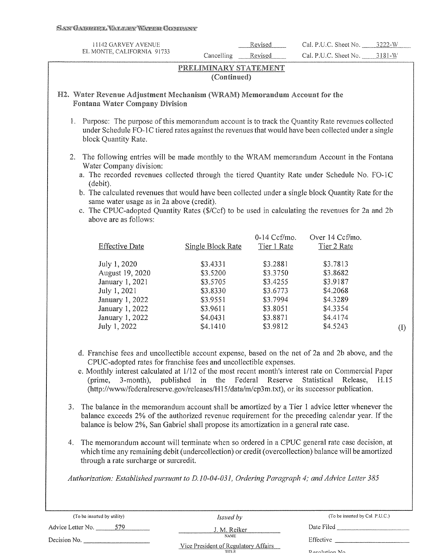| 11142 GARVEY AVENUE                                                                                                                                                                                                                 |                                      |                      |                              |            |
|-------------------------------------------------------------------------------------------------------------------------------------------------------------------------------------------------------------------------------------|--------------------------------------|----------------------|------------------------------|------------|
|                                                                                                                                                                                                                                     |                                      | Revised              | Cal. P.U.C. Sheet No. 3222-W |            |
| EL MONTE, CALIFORNIA 91733                                                                                                                                                                                                          | Cancelling                           | Revised              | Cal. P.U.C. Sheet No.        | $3181 - W$ |
|                                                                                                                                                                                                                                     | PRELIMINARY STATEMENT<br>(Continued) |                      |                              |            |
| H2. Water Revenue Adjustment Mechanism (WRAM) Memorandum Account for the<br><b>Fontana Water Company Division</b>                                                                                                                   |                                      |                      |                              |            |
| 1. Purpose: The purpose of this memorandum account is to track the Quantity Rate revenues collected<br>under Schedule FO-1C tiered rates against the revenues that would have been collected under a single<br>block Quantity Rate. |                                      |                      |                              |            |
| The following entries will be made monthly to the WRAM memorandum Account in the Fontana<br>2.<br>Water Company division:                                                                                                           |                                      |                      |                              |            |
| a. The recorded revenues collected through the tiered Quantity Rate under Schedule No. FO-1C<br>(debit).                                                                                                                            |                                      |                      |                              |            |
| b. The calculated revenues that would have been collected under a single block Quantity Rate for the                                                                                                                                |                                      |                      |                              |            |
| same water usage as in 2a above (credit).<br>c. The CPUC-adopted Quantity Rates (\$/Ccf) to be used in calculating the revenues for 2a and 2b                                                                                       |                                      |                      |                              |            |
| above are as follows:                                                                                                                                                                                                               |                                      |                      |                              |            |
|                                                                                                                                                                                                                                     |                                      |                      |                              |            |
|                                                                                                                                                                                                                                     |                                      | 0-14 Ccf/mo.         | Over 14 Ccf/mo.              |            |
| <b>Effective Date</b>                                                                                                                                                                                                               | <b>Single Block Rate</b>             | Tier 1 Rate          | Tier 2 Rate                  |            |
| July 1, 2020                                                                                                                                                                                                                        | \$3.4331                             | \$3.2881             | \$3.7813                     |            |
| August 19, 2020                                                                                                                                                                                                                     | \$3.5200                             | \$3.3750             | \$3.8682                     |            |
| January 1, 2021                                                                                                                                                                                                                     | \$3.5705                             | \$3.4255             | \$3.9187                     |            |
| July 1, 2021                                                                                                                                                                                                                        | \$3.8330                             | \$3.6773             | \$4.2068                     |            |
|                                                                                                                                                                                                                                     |                                      |                      |                              |            |
|                                                                                                                                                                                                                                     |                                      |                      |                              |            |
| January 1, 2022                                                                                                                                                                                                                     | \$3.9551<br>\$3.9611                 | \$3.7994<br>\$3.8051 | \$4.3289<br>\$4.3354         |            |
| January 1, 2022<br>January 1, 2022                                                                                                                                                                                                  | \$4.0431                             | \$3.8871             | \$4.4174                     |            |

4. The memorandum account will terminate when so ordered in a CPUC general rate case decision, at which time any remaining debit (undercollection) or credit (overcollection) balance will be amortized through a rate surcharge or surcredit.

*Authorization: Established pursuant to D.10-04-031, Ordering Paragraph 4; and Advice Letter 385* 

| (To be inserted by utility) | <i>Issued by</i>                               | (To be inserted by Cal. P.U.C.) |
|-----------------------------|------------------------------------------------|---------------------------------|
| 579<br>Advice Letter No.    | J. M. Reiker                                   | Date Filed                      |
| Decision No.                | <b>NAME</b>                                    | Effective                       |
|                             | Vice President of Regulatory Affairs<br>TITLE. | <b>Desphition No.</b>           |